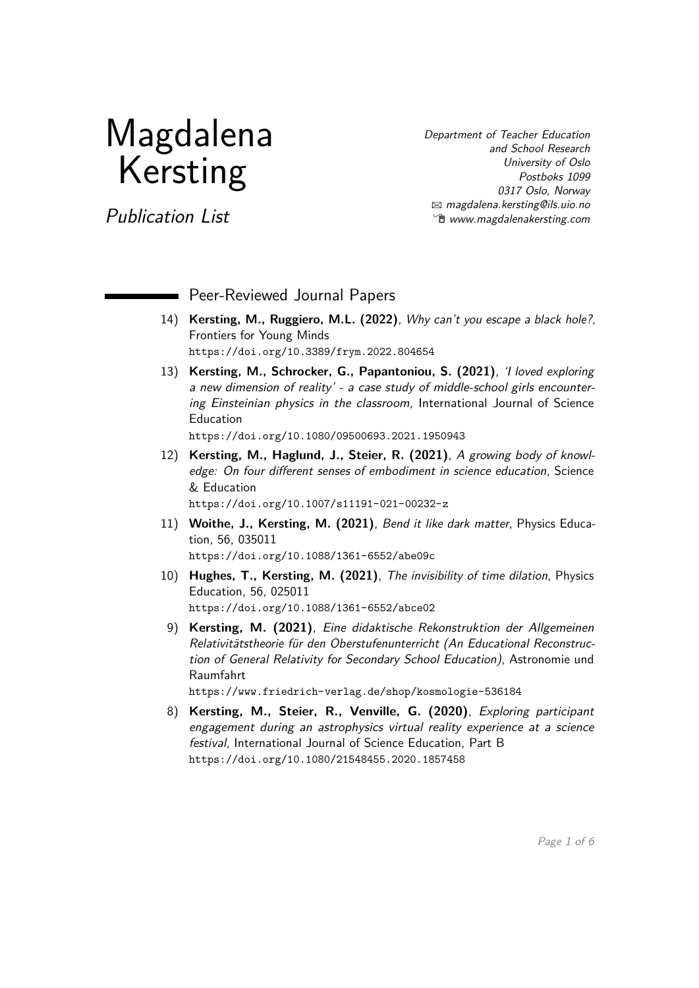# Magdalena Kersting

Department of Teacher Education and School Research University of Oslo Postboks 1099 0317 Oslo, Norway B [magdalena.kersting@ils.uio.no](mailto:magdalena.kersting@ils.uio.no) **<sup>***n***g</mark> [www.magdalenakersting.com](https://www.magdalenakersting.com)**</sup>

Publication List

Peer-Reviewed Journal Papers

- 14) **Kersting, M., Ruggiero, M.L. (2022)**, Why can't you escape a black hole?, Frontiers for Young Minds <https://doi.org/10.3389/frym.2022.804654>
- 13) **Kersting, M., Schrocker, G., Papantoniou, S. (2021)**, 'I loved exploring a new dimension of reality' - a case study of middle-school girls encountering Einsteinian physics in the classroom, International Journal of Science Education <https://doi.org/10.1080/09500693.2021.1950943>
- 12) **Kersting, M., Haglund, J., Steier, R. (2021)**, A growing body of knowledge: On four different senses of embodiment in science education, Science & Education

<https://doi.org/10.1007/s11191-021-00232-z>

- 11) **Woithe, J., Kersting, M. (2021)**, Bend it like dark matter, Physics Education, 56, 035011 <https://doi.org/10.1088/1361-6552/abe09c>
- 10) **Hughes, T., Kersting, M. (2021)**, The invisibility of time dilation, Physics Education, 56, 025011 <https://doi.org/10.1088/1361-6552/abce02>
- 9) **Kersting, M. (2021)**, Eine didaktische Rekonstruktion der Allgemeinen Relativitätstheorie für den Oberstufenunterricht (An Educational Reconstruction of General Relativity for Secondary School Education), Astronomie und Raumfahrt

<https://www.friedrich-verlag.de/shop/kosmologie-536184>

8) **Kersting, M., Steier, R., Venville, G. (2020)**, Exploring participant engagement during an astrophysics virtual reality experience at a science festival, International Journal of Science Education, Part B <https://doi.org/10.1080/21548455.2020.1857458>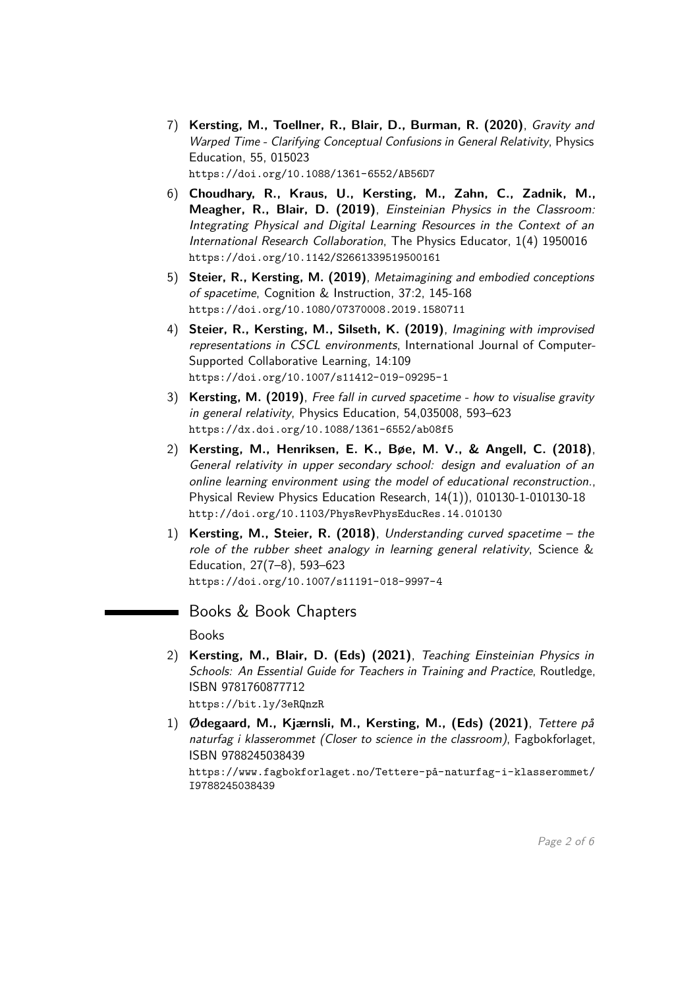- 7) **Kersting, M., Toellner, R., Blair, D., Burman, R. (2020)**, Gravity and Warped Time - Clarifying Conceptual Confusions in General Relativity, Physics Education, 55, 015023 <https://doi.org/10.1088/1361-6552/AB56D7>
- 6) **Choudhary, R., Kraus, U., Kersting, M., Zahn, C., Zadnik, M., Meagher, R., Blair, D. (2019)**, Einsteinian Physics in the Classroom: Integrating Physical and Digital Learning Resources in the Context of an International Research Collaboration, The Physics Educator, 1(4) 1950016 <https://doi.org/10.1142/S2661339519500161>
- 5) **Steier, R., Kersting, M. (2019)**, Metaimagining and embodied conceptions of spacetime, Cognition & Instruction, 37:2, 145-168 <https://doi.org/10.1080/07370008.2019.1580711>
- 4) **Steier, R., Kersting, M., Silseth, K. (2019)**, Imagining with improvised representations in CSCL environments, International Journal of Computer-Supported Collaborative Learning, 14:109 <https://doi.org/10.1007/s11412-019-09295-1>
- 3) **Kersting, M. (2019)**, Free fall in curved spacetime how to visualise gravity in general relativity, Physics Education, 54,035008, 593–623 <https://dx.doi.org/10.1088/1361-6552/ab08f5>
- 2) **Kersting, M., Henriksen, E. K., Bøe, M. V., & Angell, C. (2018)**, General relativity in upper secondary school: design and evaluation of an online learning environment using the model of educational reconstruction., Physical Review Physics Education Research, 14(1)), 010130-1-010130-18 <http://doi.org/10.1103/PhysRevPhysEducRes.14.010130>
- 1) **Kersting, M., Steier, R. (2018)**, Understanding curved spacetime the role of the rubber sheet analogy in learning general relativity, Science & Education, 27(7–8), 593–623 <https://doi.org/10.1007/s11191-018-9997-4>

# Books & Book Chapters

Books

- 2) **Kersting, M., Blair, D. (Eds) (2021)**, Teaching Einsteinian Physics in Schools: An Essential Guide for Teachers in Training and Practice, Routledge, ISBN 9781760877712 <https://bit.ly/3eRQnzR>
- 1) **Ødegaard, M., Kjærnsli, M., Kersting, M., (Eds) (2021)**, Tettere på naturfag i klasserommet (Closer to science in the classroom), Fagbokforlaget, ISBN 9788245038439

[https://www.fagbokforlaget.no/Tettere-på-naturfag-i-klasserommet/](https://www.fagbokforlaget.no/Tettere-p�-naturfag-i-klasserommet/I9788245038439) [I9788245038439](https://www.fagbokforlaget.no/Tettere-p�-naturfag-i-klasserommet/I9788245038439)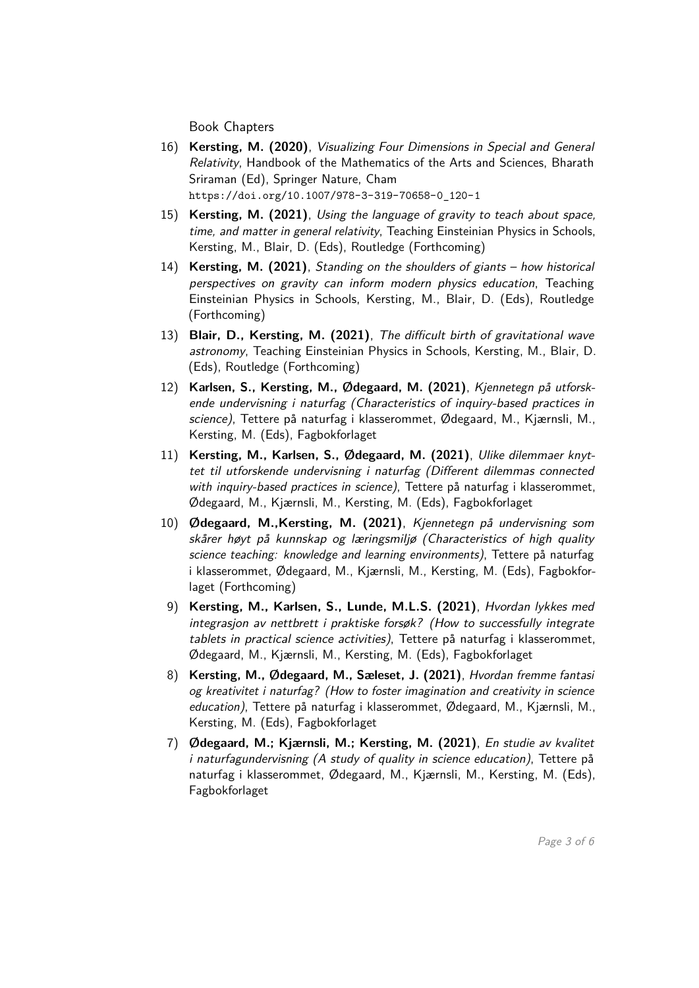Book Chapters

- 16) **Kersting, M. (2020)**, Visualizing Four Dimensions in Special and General Relativity, Handbook of the Mathematics of the Arts and Sciences, Bharath Sriraman (Ed), Springer Nature, Cham [https://doi.org/10.1007/978-3-319-70658-0\\_120-1](https://doi.org/10.1007/978-3-319-70658-0_120-1)
- 15) **Kersting, M. (2021)**, Using the language of gravity to teach about space, time, and matter in general relativity, Teaching Einsteinian Physics in Schools, Kersting, M., Blair, D. (Eds), Routledge (Forthcoming)
- 14) **Kersting, M. (2021)**, Standing on the shoulders of giants how historical perspectives on gravity can inform modern physics education, Teaching Einsteinian Physics in Schools, Kersting, M., Blair, D. (Eds), Routledge (Forthcoming)
- 13) **Blair, D., Kersting, M. (2021)**, The difficult birth of gravitational wave astronomy, Teaching Einsteinian Physics in Schools, Kersting, M., Blair, D. (Eds), Routledge (Forthcoming)
- 12) **Karlsen, S., Kersting, M., Ødegaard, M. (2021)**, Kjennetegn på utforskende undervisning i naturfag (Characteristics of inquiry-based practices in science), Tettere på naturfag i klasserommet, Ødegaard, M., Kjærnsli, M., Kersting, M. (Eds), Fagbokforlaget
- 11) **Kersting, M., Karlsen, S., Ødegaard, M. (2021)**, Ulike dilemmaer knyttet til utforskende undervisning i naturfag (Different dilemmas connected with inquiry-based practices in science), Tettere på naturfag i klasserommet, Ødegaard, M., Kjærnsli, M., Kersting, M. (Eds), Fagbokforlaget
- 10) **Ødegaard, M.,Kersting, M. (2021)**, Kjennetegn på undervisning som skårer høyt på kunnskap og læringsmiljø (Characteristics of high quality science teaching: knowledge and learning environments), Tettere på naturfag i klasserommet, Ødegaard, M., Kjærnsli, M., Kersting, M. (Eds), Fagbokforlaget (Forthcoming)
- 9) **Kersting, M., Karlsen, S., Lunde, M.L.S. (2021)**, Hvordan lykkes med integrasjon av nettbrett i praktiske forsøk? (How to successfully integrate tablets in practical science activities), Tettere på naturfag i klasserommet, Ødegaard, M., Kjærnsli, M., Kersting, M. (Eds), Fagbokforlaget
- 8) **Kersting, M., Ødegaard, M., Sæleset, J. (2021)**, Hvordan fremme fantasi og kreativitet i naturfag? (How to foster imagination and creativity in science education), Tettere på naturfag i klasserommet, Ødegaard, M., Kjærnsli, M., Kersting, M. (Eds), Fagbokforlaget
- 7) **Ødegaard, M.; Kjærnsli, M.; Kersting, M. (2021)**, En studie av kvalitet i naturfagundervisning (A study of quality in science education), Tettere på naturfag i klasserommet, Ødegaard, M., Kjærnsli, M., Kersting, M. (Eds), Fagbokforlaget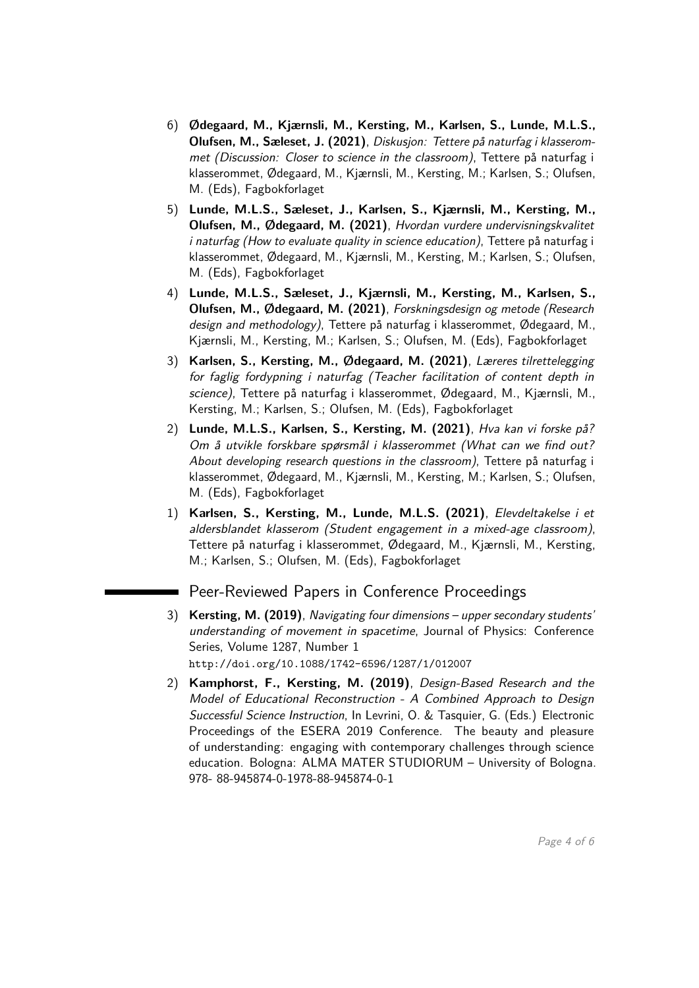- 6) **Ødegaard, M., Kjærnsli, M., Kersting, M., Karlsen, S., Lunde, M.L.S., Olufsen, M., Sæleset, J. (2021)**, Diskusjon: Tettere på naturfag i klasserommet (Discussion: Closer to science in the classroom), Tettere på naturfag i klasserommet, Ødegaard, M., Kjærnsli, M., Kersting, M.; Karlsen, S.; Olufsen, M. (Eds), Fagbokforlaget
- 5) **Lunde, M.L.S., Sæleset, J., Karlsen, S., Kjærnsli, M., Kersting, M., Olufsen, M., Ødegaard, M. (2021)**, Hvordan vurdere undervisningskvalitet i naturfag (How to evaluate quality in science education), Tettere på naturfag i klasserommet, Ødegaard, M., Kjærnsli, M., Kersting, M.; Karlsen, S.; Olufsen, M. (Eds), Fagbokforlaget
- 4) **Lunde, M.L.S., Sæleset, J., Kjærnsli, M., Kersting, M., Karlsen, S., Olufsen, M., Ødegaard, M. (2021)**, Forskningsdesign og metode (Research design and methodology), Tettere på naturfag i klasserommet, Ødegaard, M., Kjærnsli, M., Kersting, M.; Karlsen, S.; Olufsen, M. (Eds), Fagbokforlaget
- 3) **Karlsen, S., Kersting, M., Ødegaard, M. (2021)**, Læreres tilrettelegging for faglig fordypning i naturfag (Teacher facilitation of content depth in science), Tettere på naturfag i klasserommet, Ødegaard, M., Kjærnsli, M., Kersting, M.; Karlsen, S.; Olufsen, M. (Eds), Fagbokforlaget
- 2) **Lunde, M.L.S., Karlsen, S., Kersting, M. (2021)**, Hva kan vi forske på? Om å utvikle forskbare spørsmål i klasserommet (What can we find out? About developing research questions in the classroom), Tettere på naturfag i klasserommet, Ødegaard, M., Kjærnsli, M., Kersting, M.; Karlsen, S.; Olufsen, M. (Eds), Fagbokforlaget
- 1) **Karlsen, S., Kersting, M., Lunde, M.L.S. (2021)**, Elevdeltakelse i et aldersblandet klasserom (Student engagement in a mixed-age classroom), Tettere på naturfag i klasserommet, Ødegaard, M., Kjærnsli, M., Kersting, M.; Karlsen, S.; Olufsen, M. (Eds), Fagbokforlaget

# Peer-Reviewed Papers in Conference Proceedings

- 3) **Kersting, M. (2019)**, Navigating four dimensions upper secondary students' understanding of movement in spacetime, Journal of Physics: Conference Series, Volume 1287, Number 1 <http://doi.org/10.1088/1742-6596/1287/1/012007>
- 2) **Kamphorst, F., Kersting, M. (2019)**, Design-Based Research and the Model of Educational Reconstruction - A Combined Approach to Design Successful Science Instruction, In Levrini, O. & Tasquier, G. (Eds.) Electronic Proceedings of the ESERA 2019 Conference. The beauty and pleasure of understanding: engaging with contemporary challenges through science education. Bologna: ALMA MATER STUDIORUM – University of Bologna. 978- 88-945874-0-1978-88-945874-0-1

Page 4 of [6](#page-5-0)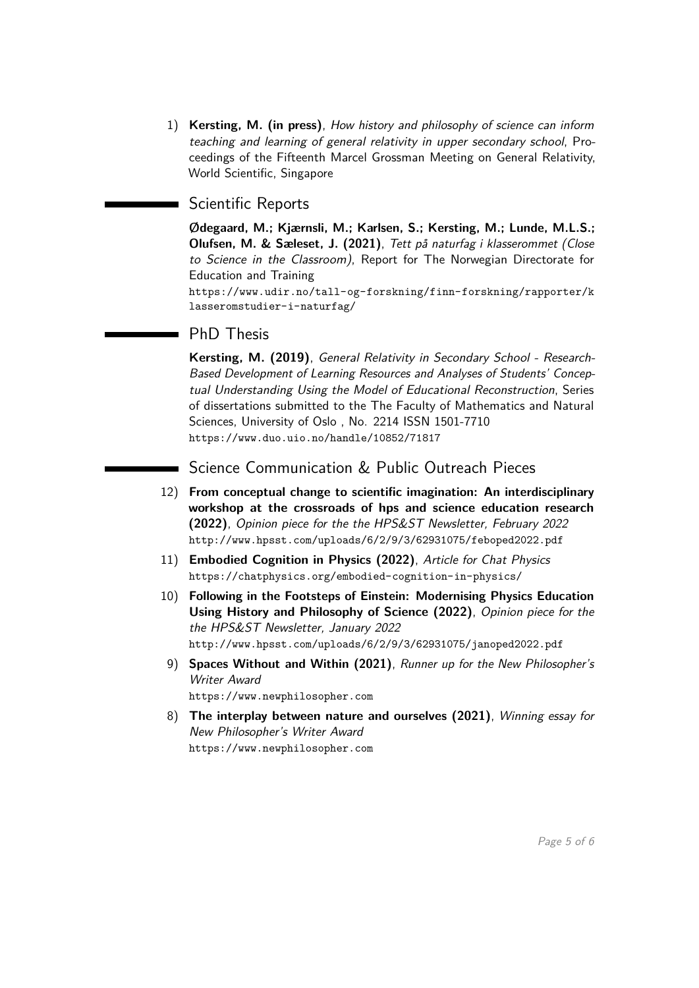1) **Kersting, M. (in press)**, How history and philosophy of science can inform teaching and learning of general relativity in upper secondary school, Proceedings of the Fifteenth Marcel Grossman Meeting on General Relativity, World Scientific, Singapore

### Scientific Reports

**Ødegaard, M.; Kjærnsli, M.; Karlsen, S.; Kersting, M.; Lunde, M.L.S.; Olufsen, M. & Sæleset, J. (2021)**, Tett på naturfag i klasserommet (Close to Science in the Classroom), Report for The Norwegian Directorate for Education and Training

[https://www.udir.no/tall-og-forskning/finn-forskning/rapporter/k](https://www.udir.no/tall-og-forskning/finn-forskning/rapporter/klasseromstudier-i-naturfag/) [lasseromstudier-i-naturfag/](https://www.udir.no/tall-og-forskning/finn-forskning/rapporter/klasseromstudier-i-naturfag/)

### PhD Thesis

**Kersting, M. (2019)**, General Relativity in Secondary School - Research-Based Development of Learning Resources and Analyses of Students' Conceptual Understanding Using the Model of Educational Reconstruction, Series of dissertations submitted to the The Faculty of Mathematics and Natural Sciences, University of Oslo , No. 2214 ISSN 1501-7710 <https://www.duo.uio.no/handle/10852/71817>

Science Communication & Public Outreach Pieces

- 12) **From conceptual change to scientific imagination: An interdisciplinary workshop at the crossroads of hps and science education research (2022)**, Opinion piece for the the HPS&ST Newsletter, February 2022 <http://www.hpsst.com/uploads/6/2/9/3/62931075/feboped2022.pdf>
- 11) **Embodied Cognition in Physics (2022)**, Article for Chat Physics <https://chatphysics.org/embodied-cognition-in-physics/>
- 10) **Following in the Footsteps of Einstein: Modernising Physics Education Using History and Philosophy of Science (2022)**, Opinion piece for the the HPS&ST Newsletter, January 2022 <http://www.hpsst.com/uploads/6/2/9/3/62931075/janoped2022.pdf>
- 9) **Spaces Without and Within (2021)**, Runner up for the New Philosopher's Writer Award <https://www.newphilosopher.com>
- 8) **The interplay between nature and ourselves (2021)**, Winning essay for New Philosopher's Writer Award <https://www.newphilosopher.com>